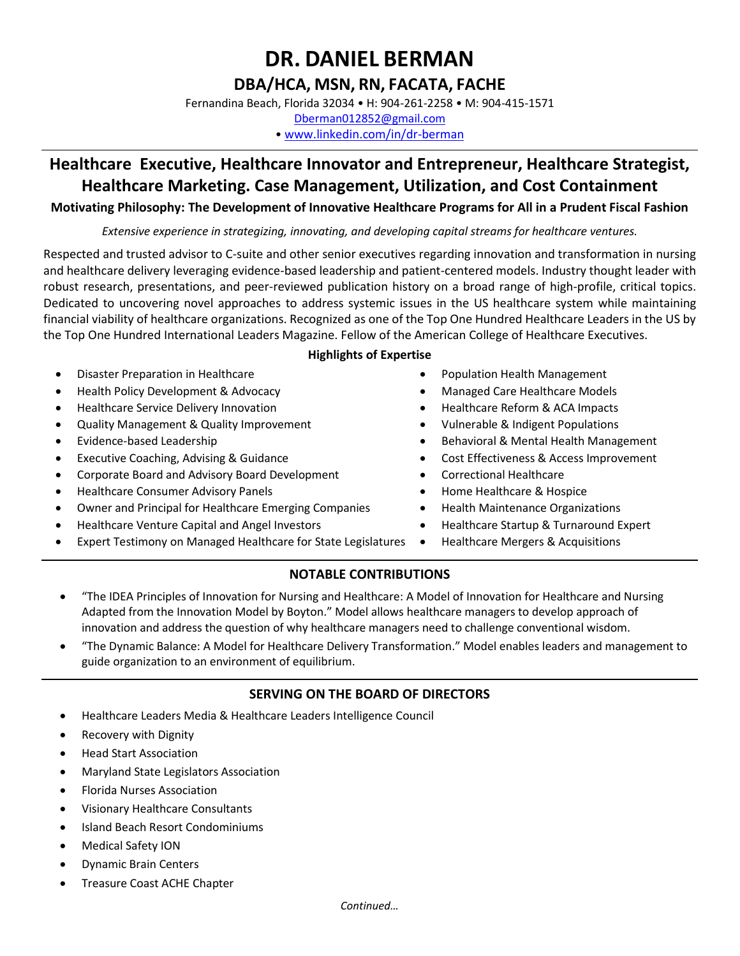# **DBA/HCA, MSN, RN, FACATA, FACHE**

Fernandina Beach, Florida 32034 • H: 904-261-2258 • M: 904-415-1571

[Dberman012852@gmail.com](mailto:Dberman012852@gmail.com) • [www.linkedin.com/in/dr-berman](http://www.linkedin.com/in/dr-berman)

# **Healthcare Executive, Healthcare Innovator and Entrepreneur, Healthcare Strategist, Healthcare Marketing. Case Management, Utilization, and Cost Containment**

# **Motivating Philosophy: The Development of Innovative Healthcare Programs for All in a Prudent Fiscal Fashion**

*Extensive experience in strategizing, innovating, and developing capital streams for healthcare ventures.* 

Respected and trusted advisor to C-suite and other senior executives regarding innovation and transformation in nursing and healthcare delivery leveraging evidence-based leadership and patient-centered models. Industry thought leader with robust research, presentations, and peer-reviewed publication history on a broad range of high-profile, critical topics. Dedicated to uncovering novel approaches to address systemic issues in the US healthcare system while maintaining financial viability of healthcare organizations. Recognized as one of the Top One Hundred Healthcare Leaders in the US by the Top One Hundred International Leaders Magazine. Fellow of the American College of Healthcare Executives.

# • Disaster Preparation in Healthcare

- Health Policy Development & Advocacy
- Healthcare Service Delivery Innovation
- Quality Management & Quality Improvement
- Evidence-based Leadership
- Executive Coaching, Advising & Guidance
- Corporate Board and Advisory Board Development
- Healthcare Consumer Advisory Panels
- Owner and Principal for Healthcare Emerging Companies
- Healthcare Venture Capital and Angel Investors
- Expert Testimony on Managed Healthcare for State Legislatures

### **Highlights of Expertise**

- Population Health Management
- Managed Care Healthcare Models
- Healthcare Reform & ACA Impacts
- Vulnerable & Indigent Populations
- Behavioral & Mental Health Management
- Cost Effectiveness & Access Improvement
- Correctional Healthcare
- Home Healthcare & Hospice
- Health Maintenance Organizations
- Healthcare Startup & Turnaround Expert
- Healthcare Mergers & Acquisitions

# **NOTABLE CONTRIBUTIONS**

- "The IDEA Principles of Innovation for Nursing and Healthcare: A Model of Innovation for Healthcare and Nursing Adapted from the Innovation Model by Boyton." Model allows healthcare managers to develop approach of innovation and address the question of why healthcare managers need to challenge conventional wisdom.
- "The Dynamic Balance: A Model for Healthcare Delivery Transformation." Model enables leaders and management to guide organization to an environment of equilibrium.

# **SERVING ON THE BOARD OF DIRECTORS**

- Healthcare Leaders Media & Healthcare Leaders Intelligence Council
- Recovery with Dignity
- Head Start Association
- Maryland State Legislators Association
- Florida Nurses Association
- Visionary Healthcare Consultants
- Island Beach Resort Condominiums
- Medical Safety ION
- Dynamic Brain Centers
- Treasure Coast ACHE Chapter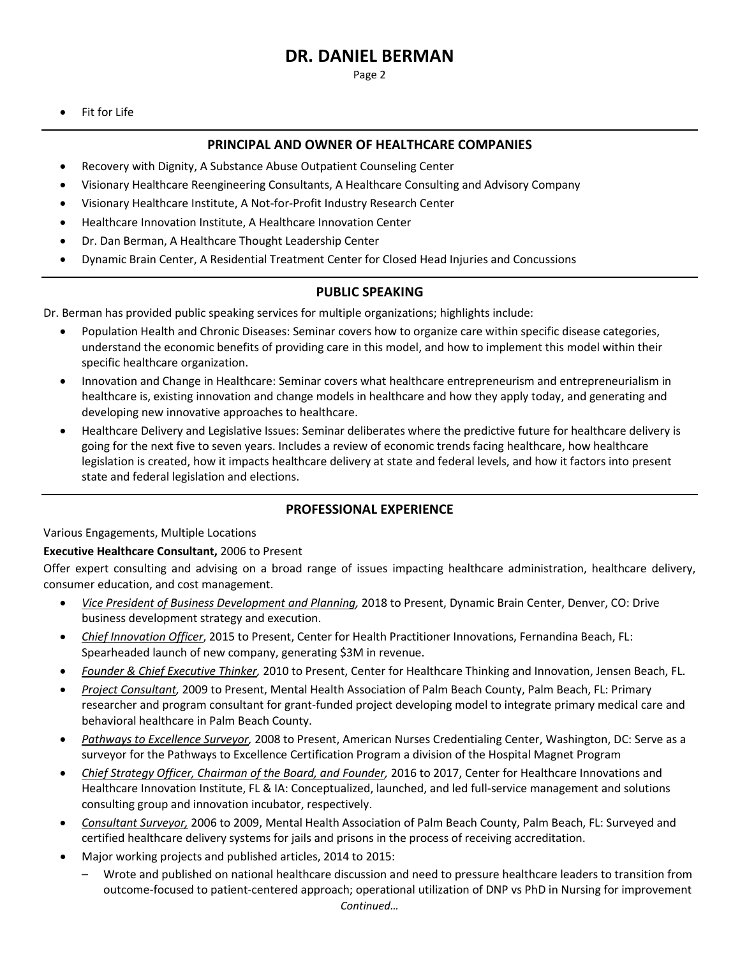Page 2

• Fit for Life

### **PRINCIPAL AND OWNER OF HEALTHCARE COMPANIES**

- Recovery with Dignity, A Substance Abuse Outpatient Counseling Center
- Visionary Healthcare Reengineering Consultants, A Healthcare Consulting and Advisory Company
- Visionary Healthcare Institute, A Not-for-Profit Industry Research Center
- Healthcare Innovation Institute, A Healthcare Innovation Center
- Dr. Dan Berman, A Healthcare Thought Leadership Center
- Dynamic Brain Center, A Residential Treatment Center for Closed Head Injuries and Concussions

### **PUBLIC SPEAKING**

Dr. Berman has provided public speaking services for multiple organizations; highlights include:

- Population Health and Chronic Diseases: Seminar covers how to organize care within specific disease categories, understand the economic benefits of providing care in this model, and how to implement this model within their specific healthcare organization.
- Innovation and Change in Healthcare: Seminar covers what healthcare entrepreneurism and entrepreneurialism in healthcare is, existing innovation and change models in healthcare and how they apply today, and generating and developing new innovative approaches to healthcare.
- Healthcare Delivery and Legislative Issues: Seminar deliberates where the predictive future for healthcare delivery is going for the next five to seven years. Includes a review of economic trends facing healthcare, how healthcare legislation is created, how it impacts healthcare delivery at state and federal levels, and how it factors into present state and federal legislation and elections.

#### **PROFESSIONAL EXPERIENCE**

Various Engagements, Multiple Locations

#### **Executive Healthcare Consultant,** 2006 to Present

Offer expert consulting and advising on a broad range of issues impacting healthcare administration, healthcare delivery, consumer education, and cost management.

- *Vice President of Business Development and Planning,* 2018 to Present, Dynamic Brain Center, Denver, CO: Drive business development strategy and execution.
- *Chief Innovation Officer*, 2015 to Present, Center for Health Practitioner Innovations, Fernandina Beach, FL: Spearheaded launch of new company, generating \$3M in revenue.
- *Founder & Chief Executive Thinker,* 2010 to Present, Center for Healthcare Thinking and Innovation, Jensen Beach, FL.
- *Project Consultant,* 2009 to Present, Mental Health Association of Palm Beach County, Palm Beach, FL: Primary researcher and program consultant for grant-funded project developing model to integrate primary medical care and behavioral healthcare in Palm Beach County.
- *Pathways to Excellence Surveyor,* 2008 to Present, American Nurses Credentialing Center, Washington, DC: Serve as a surveyor for the Pathways to Excellence Certification Program a division of the Hospital Magnet Program
- *Chief Strategy Officer, Chairman of the Board, and Founder,* 2016 to 2017, Center for Healthcare Innovations and Healthcare Innovation Institute, FL & IA: Conceptualized, launched, and led full-service management and solutions consulting group and innovation incubator, respectively.
- *Consultant Surveyor,* 2006 to 2009, Mental Health Association of Palm Beach County, Palm Beach, FL: Surveyed and certified healthcare delivery systems for jails and prisons in the process of receiving accreditation.
- Major working projects and published articles, 2014 to 2015:
	- *Continued…* – Wrote and published on national healthcare discussion and need to pressure healthcare leaders to transition from outcome-focused to patient-centered approach; operational utilization of DNP vs PhD in Nursing for improvement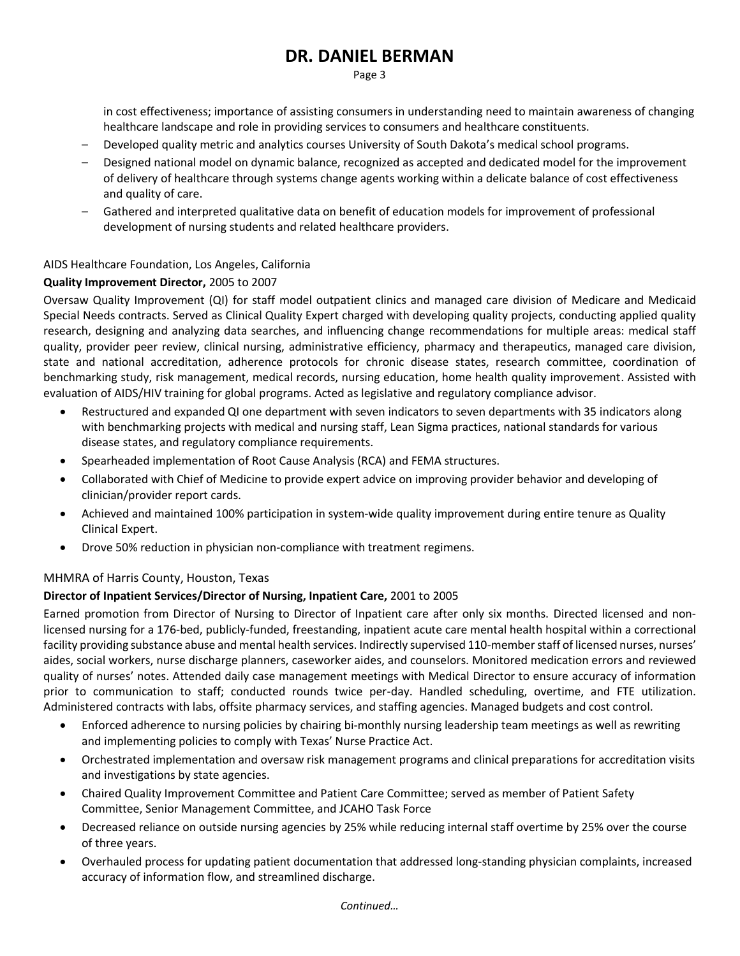Page 3

in cost effectiveness; importance of assisting consumers in understanding need to maintain awareness of changing healthcare landscape and role in providing services to consumers and healthcare constituents.

- Developed quality metric and analytics courses University of South Dakota's medical school programs.
- Designed national model on dynamic balance, recognized as accepted and dedicated model for the improvement of delivery of healthcare through systems change agents working within a delicate balance of cost effectiveness and quality of care.
- Gathered and interpreted qualitative data on benefit of education models for improvement of professional development of nursing students and related healthcare providers.

# AIDS Healthcare Foundation, Los Angeles, California

# **Quality Improvement Director,** 2005 to 2007

Oversaw Quality Improvement (QI) for staff model outpatient clinics and managed care division of Medicare and Medicaid Special Needs contracts. Served as Clinical Quality Expert charged with developing quality projects, conducting applied quality research, designing and analyzing data searches, and influencing change recommendations for multiple areas: medical staff quality, provider peer review, clinical nursing, administrative efficiency, pharmacy and therapeutics, managed care division, state and national accreditation, adherence protocols for chronic disease states, research committee, coordination of benchmarking study, risk management, medical records, nursing education, home health quality improvement. Assisted with evaluation of AIDS/HIV training for global programs. Acted as legislative and regulatory compliance advisor.

- Restructured and expanded QI one department with seven indicators to seven departments with 35 indicators along with benchmarking projects with medical and nursing staff, Lean Sigma practices, national standards for various disease states, and regulatory compliance requirements.
- Spearheaded implementation of Root Cause Analysis (RCA) and FEMA structures.
- Collaborated with Chief of Medicine to provide expert advice on improving provider behavior and developing of clinician/provider report cards.
- Achieved and maintained 100% participation in system-wide quality improvement during entire tenure as Quality Clinical Expert.
- Drove 50% reduction in physician non-compliance with treatment regimens.

### MHMRA of Harris County, Houston, Texas

### **Director of Inpatient Services/Director of Nursing, Inpatient Care,** 2001 to 2005

Earned promotion from Director of Nursing to Director of Inpatient care after only six months. Directed licensed and nonlicensed nursing for a 176-bed, publicly-funded, freestanding, inpatient acute care mental health hospital within a correctional facility providing substance abuse and mental health services. Indirectly supervised 110-member staff of licensed nurses, nurses' aides, social workers, nurse discharge planners, caseworker aides, and counselors. Monitored medication errors and reviewed quality of nurses' notes. Attended daily case management meetings with Medical Director to ensure accuracy of information prior to communication to staff; conducted rounds twice per-day. Handled scheduling, overtime, and FTE utilization. Administered contracts with labs, offsite pharmacy services, and staffing agencies. Managed budgets and cost control.

- Enforced adherence to nursing policies by chairing bi-monthly nursing leadership team meetings as well as rewriting and implementing policies to comply with Texas' Nurse Practice Act.
- Orchestrated implementation and oversaw risk management programs and clinical preparations for accreditation visits and investigations by state agencies.
- Chaired Quality Improvement Committee and Patient Care Committee; served as member of Patient Safety Committee, Senior Management Committee, and JCAHO Task Force
- Decreased reliance on outside nursing agencies by 25% while reducing internal staff overtime by 25% over the course of three years.
- Overhauled process for updating patient documentation that addressed long-standing physician complaints, increased accuracy of information flow, and streamlined discharge.